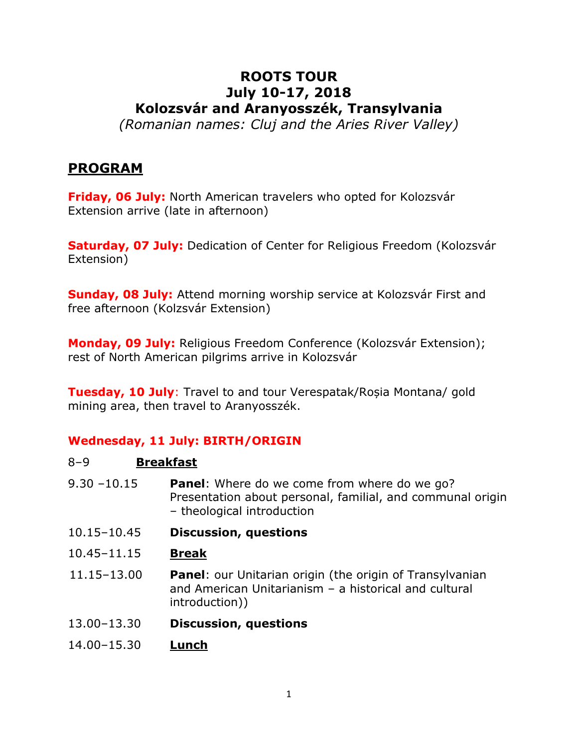# **ROOTS TOUR July 10-17, 2018 Kolozsvár and Aranyosszék, Transylvania**

*(Romanian names: Cluj and the Aries River Valley)*

# **PROGRAM**

**Friday, 06 July:** North American travelers who opted for Kolozsvár Extension arrive (late in afternoon)

**Saturday, 07 July:** Dedication of Center for Religious Freedom (Kolozsvár Extension)

**Sunday, 08 July:** Attend morning worship service at Kolozsvár First and free afternoon (Kolzsvár Extension)

**Monday, 09 July:** Religious Freedom Conference (Kolozsvár Extension); rest of North American pilgrims arrive in Kolozsvár

**Tuesday, 10 July**: Travel to and tour Verespatak/Roșia Montana/ gold mining area, then travel to Aranyosszék.

# **Wednesday, 11 July: BIRTH/ORIGIN**

| $8 - 9$         | <b>Breakfast</b>                                                                                                                                |
|-----------------|-------------------------------------------------------------------------------------------------------------------------------------------------|
| $9.30 - 10.15$  | <b>Panel:</b> Where do we come from where do we go?<br>Presentation about personal, familial, and communal origin<br>- theological introduction |
| $10.15 - 10.45$ | <b>Discussion, questions</b>                                                                                                                    |
| 10.45 - 11.15   | <b>Break</b>                                                                                                                                    |
| 11.15-13.00     | <b>Panel:</b> our Unitarian origin (the origin of Transylvanian<br>and American Unitarianism - a historical and cultural<br>introduction))      |
| 13.00-13.30     | <b>Discussion, questions</b>                                                                                                                    |
| 14.00-15.30     | Lunch                                                                                                                                           |
|                 |                                                                                                                                                 |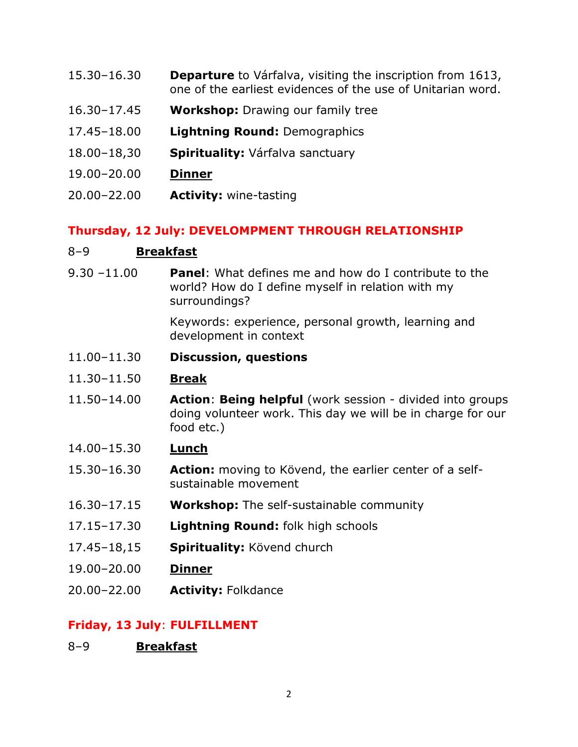- 15.30–16.30 **Departure** to Várfalva, visiting the inscription from 1613, one of the earliest evidences of the use of Unitarian word.
- 16.30–17.45 **Workshop:** Drawing our family tree
- 17.45–18.00 **Lightning Round:** Demographics
- 18.00–18,30 **Spirituality:** Várfalva sanctuary
- 19.00–20.00 **Dinner**
- 20.00–22.00 **Activity:** wine-tasting

### **Thursday, 12 July: DEVELOMPMENT THROUGH RELATIONSHIP**

#### 8–9 **Breakfast**

9.30 –11.00 **Panel**: What defines me and how do I contribute to the world? How do I define myself in relation with my surroundings?

> Keywords: experience, personal growth, learning and development in context

- 11.00–11.30 **Discussion, questions**
- 11.30–11.50 **Break**
- 11.50–14.00 **Action**: **Being helpful** (work session divided into groups doing volunteer work. This day we will be in charge for our food etc.)
- 14.00–15.30 **Lunch**
- 15.30–16.30 **Action:** moving to Kövend, the earlier center of a selfsustainable movement
- 16.30–17.15 **Workshop:** The self-sustainable community
- 17.15–17.30 **Lightning Round:** folk high schools
- 17.45–18,15 **Spirituality:** Kövend church
- 19.00–20.00 **Dinner**
- 20.00–22.00 **Activity:** Folkdance

#### **Friday, 13 July**: **FULFILLMENT**

8–9 **Breakfast**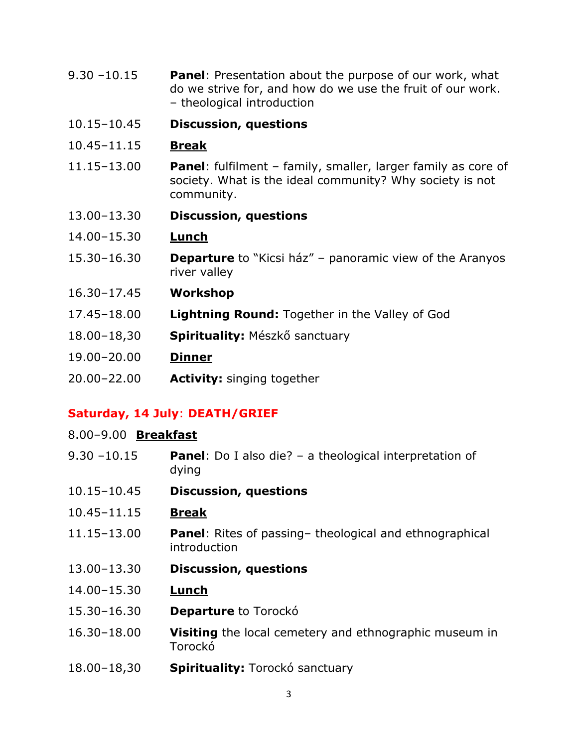- 9.30 –10.15 **Panel**: Presentation about the purpose of our work, what do we strive for, and how do we use the fruit of our work. – theological introduction
- 10.15–10.45 **Discussion, questions**
- 10.45–11.15 **Break**
- 11.15–13.00 **Panel**: fulfilment family, smaller, larger family as core of society. What is the ideal community? Why society is not community.
- 13.00–13.30 **Discussion, questions**
- 14.00–15.30 **Lunch**
- 15.30–16.30 **Departure** to "Kicsi ház" panoramic view of the Aranyos river valley
- 16.30–17.45 **Workshop**
- 17.45–18.00 **Lightning Round:** Together in the Valley of God
- 18.00–18,30 **Spirituality:** Mészkő sanctuary
- 19.00–20.00 **Dinner**
- 20.00–22.00 **Activity:** singing together

## **Saturday, 14 July**: **DEATH/GRIEF**

#### 8.00–9.00 **Breakfast**

- 9.30 –10.15 **Panel**: Do I also die? a theological interpretation of dying
- 10.15–10.45 **Discussion, questions**
- 10.45–11.15 **Break**
- 11.15–13.00 **Panel**: Rites of passing– theological and ethnographical introduction
- 13.00–13.30 **Discussion, questions**
- 14.00–15.30 **Lunch**
- 15.30–16.30 **Departure** to Torockó
- 16.30–18.00 **Visiting** the local cemetery and ethnographic museum in Torockó
- 18.00–18,30 **Spirituality:** Torockó sanctuary